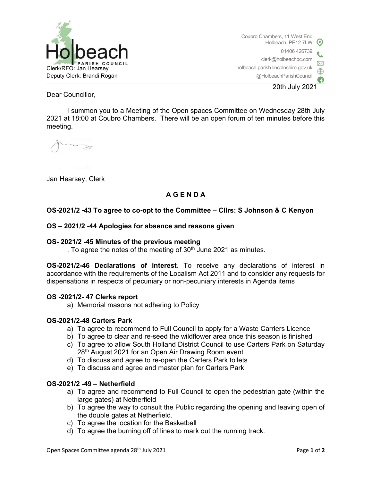

Coubro Chambers, 11 West End Holbeach, PE12 7LW 01406 426739 clerk@holbeachpc.com holbeach.parish.lincolnshire.gov.uk @HolbeachParishCouncil 20th July 2021

Dear Councillor,

I summon you to a Meeting of the Open spaces Committee on Wednesday 28th July 2021 at 18:00 at Coubro Chambers. There will be an open forum of ten minutes before this meeting.

Jan Hearsey, Clerk

# A G E N D A

# OS-2021/2 -43 To agree to co-opt to the Committee – Cllrs: S Johnson & C Kenyon

#### OS – 2021/2 -44 Apologies for absence and reasons given

#### OS- 2021/2 -45 Minutes of the previous meeting

. To agree the notes of the meeting of  $30<sup>th</sup>$  June 2021 as minutes.

OS-2021/2-46 Declarations of interest. To receive any declarations of interest in accordance with the requirements of the Localism Act 2011 and to consider any requests for dispensations in respects of pecuniary or non-pecuniary interests in Agenda items

# OS -2021/2- 47 Clerks report

a) Memorial masons not adhering to Policy

#### OS-2021/2-48 Carters Park

- a) To agree to recommend to Full Council to apply for a Waste Carriers Licence
- b) To agree to clear and re-seed the wildflower area once this season is finished
- c) To agree to allow South Holland District Council to use Carters Park on Saturday 28<sup>th</sup> August 2021 for an Open Air Drawing Room event
- d) To discuss and agree to re-open the Carters Park toilets
- e) To discuss and agree and master plan for Carters Park

# OS-2021/2 -49 – Netherfield

- a) To agree and recommend to Full Council to open the pedestrian gate (within the large gates) at Netherfield
- b) To agree the way to consult the Public regarding the opening and leaving open of the double gates at Netherfield.
- c) To agree the location for the Basketball
- d) To agree the burning off of lines to mark out the running track.